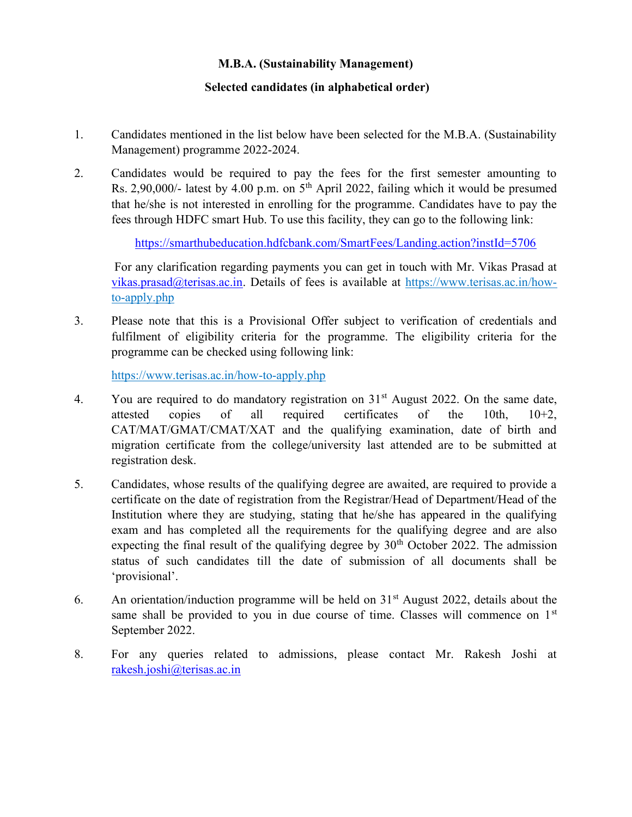## M.B.A. (Sustainability Management)

## Selected candidates (in alphabetical order)

- 1. Candidates mentioned in the list below have been selected for the M.B.A. (Sustainability Management) programme 2022-2024.
- 2. Candidates would be required to pay the fees for the first semester amounting to Rs. 2,90,000/- latest by 4.00 p.m. on  $5<sup>th</sup>$  April 2022, failing which it would be presumed that he/she is not interested in enrolling for the programme. Candidates have to pay the fees through HDFC smart Hub. To use this facility, they can go to the following link:

https://smarthubeducation.hdfcbank.com/SmartFees/Landing.action?instId=5706

For any clarification regarding payments you can get in touch with Mr. Vikas Prasad at vikas.prasad@terisas.ac.in. Details of fees is available at https://www.terisas.ac.in/howto-apply.php

3. Please note that this is a Provisional Offer subject to verification of credentials and fulfilment of eligibility criteria for the programme. The eligibility criteria for the programme can be checked using following link:

https://www.terisas.ac.in/how-to-apply.php

- 4. You are required to do mandatory registration on  $31<sup>st</sup>$  August 2022. On the same date, attested copies of all required certificates of the 10th, 10+2, CAT/MAT/GMAT/CMAT/XAT and the qualifying examination, date of birth and migration certificate from the college/university last attended are to be submitted at registration desk.
- 5. Candidates, whose results of the qualifying degree are awaited, are required to provide a certificate on the date of registration from the Registrar/Head of Department/Head of the Institution where they are studying, stating that he/she has appeared in the qualifying exam and has completed all the requirements for the qualifying degree and are also expecting the final result of the qualifying degree by  $30<sup>th</sup>$  October 2022. The admission status of such candidates till the date of submission of all documents shall be 'provisional'.
- 6. An orientation/induction programme will be held on  $31<sup>st</sup>$  August 2022, details about the same shall be provided to you in due course of time. Classes will commence on  $1<sup>st</sup>$ September 2022.
- 8. For any queries related to admissions, please contact Mr. Rakesh Joshi at rakesh.joshi@terisas.ac.in